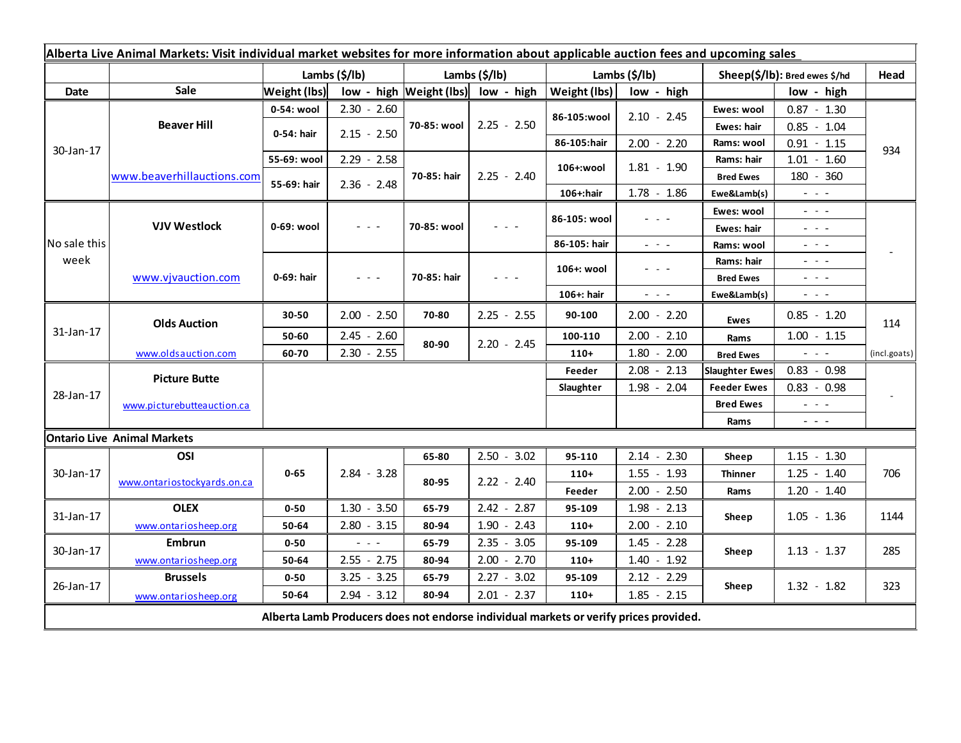| Alberta Live Animal Markets: Visit individual market websites for more information about applicable auction fees and upcoming sales |                             |                       |                                             |                         |                       |              |                                                                                                                           |                       |                                                                                                                           |              |
|-------------------------------------------------------------------------------------------------------------------------------------|-----------------------------|-----------------------|---------------------------------------------|-------------------------|-----------------------|--------------|---------------------------------------------------------------------------------------------------------------------------|-----------------------|---------------------------------------------------------------------------------------------------------------------------|--------------|
|                                                                                                                                     |                             | Lambs $(\frac{2}{3})$ |                                             |                         | Lambs $(\frac{2}{3})$ |              | Lambs $(\frac{2}{3})$                                                                                                     |                       | Sheep(\$/lb): Bred ewes \$/hd                                                                                             |              |
| Date                                                                                                                                | <b>Sale</b>                 | <b>Weight (lbs)</b>   |                                             | low - high Weight (lbs) | low - high            | Weight (lbs) | low - high                                                                                                                |                       | low - high                                                                                                                |              |
| 30-Jan-17                                                                                                                           | <b>Beaver Hill</b>          | 0-54: wool            | $2.30 - 2.60$                               |                         | $2.25 - 2.50$         |              | $2.10 - 2.45$                                                                                                             | Ewes: wool            | $0.87 - 1.30$                                                                                                             | 934          |
|                                                                                                                                     |                             | 0-54: hair            | $2.15 - 2.50$                               | 70-85: wool             |                       | 86-105:wool  |                                                                                                                           | Ewes: hair            | $0.85 - 1.04$                                                                                                             |              |
|                                                                                                                                     |                             |                       |                                             |                         |                       | 86-105:hair  | $2.00 - 2.20$                                                                                                             | Rams: wool            | $0.91 - 1.15$                                                                                                             |              |
|                                                                                                                                     | www.beaverhillauctions.com  | 55-69: wool           | $2.29 - 2.58$                               |                         | $2.25 - 2.40$         | 106+:wool    | $1.81 - 1.90$                                                                                                             | Rams: hair            | $1.01 - 1.60$                                                                                                             |              |
|                                                                                                                                     |                             | 55-69: hair           | $2.36 - 2.48$                               | 70-85: hair             |                       |              |                                                                                                                           | <b>Bred Ewes</b>      | 180 - 360                                                                                                                 |              |
|                                                                                                                                     |                             |                       |                                             |                         |                       | 106+:hair    | $1.78 - 1.86$                                                                                                             | Ewe&Lamb(s)           | $\frac{1}{2} \left( \frac{1}{2} \right) \left( \frac{1}{2} \right) \left( \frac{1}{2} \right) \left( \frac{1}{2} \right)$ |              |
| No sale this<br>week                                                                                                                | <b>VJV Westlock</b>         | 0-69: wool            |                                             |                         |                       | 86-105: wool |                                                                                                                           | Ewes: wool            | - - -                                                                                                                     |              |
|                                                                                                                                     |                             |                       | - - -                                       | 70-85: wool             |                       |              |                                                                                                                           | Ewes: hair            | - - -                                                                                                                     |              |
|                                                                                                                                     |                             |                       |                                             |                         |                       | 86-105: hair | $\frac{1}{2} \left( \frac{1}{2} \right) = \frac{1}{2} \left( \frac{1}{2} \right)$                                         | Rams: wool            | $\frac{1}{2} \left( \frac{1}{2} \right) = \frac{1}{2} \left( \frac{1}{2} \right)$                                         |              |
|                                                                                                                                     | www.vjvauction.com          | 0-69: hair            |                                             |                         |                       | 106+: wool   |                                                                                                                           | Rams: hair            | - - -                                                                                                                     |              |
|                                                                                                                                     |                             |                       | - - -                                       | 70-85: hair             |                       |              |                                                                                                                           | <b>Bred Ewes</b>      | $  -$                                                                                                                     |              |
|                                                                                                                                     |                             |                       |                                             |                         |                       | 106+: hair   | $\frac{1}{2} \left( \frac{1}{2} \right) \left( \frac{1}{2} \right) \left( \frac{1}{2} \right) \left( \frac{1}{2} \right)$ | Ewe&Lamb(s)           | $\frac{1}{2} \left( \frac{1}{2} \right) \left( \frac{1}{2} \right) \left( \frac{1}{2} \right) \left( \frac{1}{2} \right)$ |              |
| 31-Jan-17                                                                                                                           | <b>Olds Auction</b>         | 30-50                 | $2.00 - 2.50$                               | 70-80                   | $2.25 - 2.55$         | 90-100       | $2.00 - 2.20$                                                                                                             | <b>Ewes</b>           | $0.85 - 1.20$                                                                                                             | 114          |
|                                                                                                                                     |                             | 50-60                 | $2.45 - 2.60$                               | 80-90                   | $2.20 - 2.45$         | 100-110      | $2.00 - 2.10$                                                                                                             | Rams                  | $1.00 - 1.15$                                                                                                             |              |
|                                                                                                                                     | www.oldsauction.com         | 60-70                 | $2.30 - 2.55$                               |                         |                       | $110+$       | 1.80<br>$-2.00$                                                                                                           | <b>Bred Ewes</b>      | $\omega_{\rm{max}}$ and $\omega_{\rm{max}}$                                                                               | (incl.goats) |
| 28-Jan-17                                                                                                                           | <b>Picture Butte</b>        |                       |                                             |                         |                       | Feeder       | $2.08 - 2.13$                                                                                                             | <b>Slaughter Ewes</b> | $0.83 - 0.98$                                                                                                             |              |
|                                                                                                                                     |                             |                       |                                             |                         |                       | Slaughter    | $1.98 - 2.04$                                                                                                             | <b>Feeder Ewes</b>    | $0.83 - 0.98$                                                                                                             |              |
|                                                                                                                                     | www.picturebutteauction.ca  |                       |                                             |                         |                       |              |                                                                                                                           | <b>Bred Ewes</b>      | $\frac{1}{2} \left( \frac{1}{2} \right) = \frac{1}{2} \left( \frac{1}{2} \right)$                                         |              |
|                                                                                                                                     |                             |                       |                                             |                         |                       |              |                                                                                                                           | Rams                  | $\frac{1}{2} \left( \frac{1}{2} \right) \left( \frac{1}{2} \right) \left( \frac{1}{2} \right) \left( \frac{1}{2} \right)$ |              |
| <b>Ontario Live Animal Markets</b>                                                                                                  |                             |                       |                                             |                         |                       |              |                                                                                                                           |                       |                                                                                                                           |              |
| 30-Jan-17                                                                                                                           | OSI                         |                       |                                             | 65-80                   | $2.50 - 3.02$         | 95-110       | $2.14 -$<br>2.30                                                                                                          | Sheep                 | $1.15 - 1.30$                                                                                                             |              |
|                                                                                                                                     | www.ontariostockyards.on.ca | $0 - 65$              | $2.84 - 3.28$                               | 80-95                   | $2.22 - 2.40$         | $110+$       | $1.55 - 1.93$                                                                                                             | <b>Thinner</b>        | $1.25 - 1.40$                                                                                                             | 706          |
|                                                                                                                                     |                             |                       |                                             |                         |                       | Feeder       | $2.00 - 2.50$                                                                                                             | Rams                  | $1.20 - 1.40$                                                                                                             |              |
| 31-Jan-17                                                                                                                           | <b>OLEX</b>                 | $0 - 50$              | $1.30 - 3.50$                               | 65-79                   | $2.42 - 2.87$         | 95-109       | $1.98 - 2.13$                                                                                                             | Sheep                 | 1.05<br>$-1.36$                                                                                                           | 1144         |
|                                                                                                                                     | www.ontariosheep.org        | 50-64                 | $2.80 - 3.15$                               | 80-94                   | $1.90 - 2.43$         | $110+$       | $2.00 - 2.10$                                                                                                             |                       |                                                                                                                           |              |
| 30-Jan-17                                                                                                                           | <b>Embrun</b>               | $0 - 50$              | $\omega_{\rm{eff}}$ and $\omega_{\rm{eff}}$ | 65-79                   | $2.35 - 3.05$         | 95-109       | $1.45 - 2.28$                                                                                                             | Sheep                 | $1.13 - 1.37$                                                                                                             | 285          |
|                                                                                                                                     | www.ontariosheep.org        | 50-64                 | $2.55 - 2.75$                               | 80-94                   | $2.00 - 2.70$         | $110+$       | $1.40 - 1.92$                                                                                                             |                       |                                                                                                                           |              |
| 26-Jan-17                                                                                                                           | <b>Brussels</b>             | $0 - 50$              | $3.25 - 3.25$                               | 65-79                   | $2.27 - 3.02$         | 95-109       | $2.12 - 2.29$                                                                                                             |                       | $1.32 - 1.82$                                                                                                             | 323          |
|                                                                                                                                     | www.ontariosheep.org        | 50-64                 | $2.94 - 3.12$                               | 80-94                   | $2.01 - 2.37$         | $110+$       | $1.85 - 2.15$                                                                                                             | Sheep                 |                                                                                                                           |              |
| Alberta Lamb Producers does not endorse individual markets or verify prices provided.                                               |                             |                       |                                             |                         |                       |              |                                                                                                                           |                       |                                                                                                                           |              |